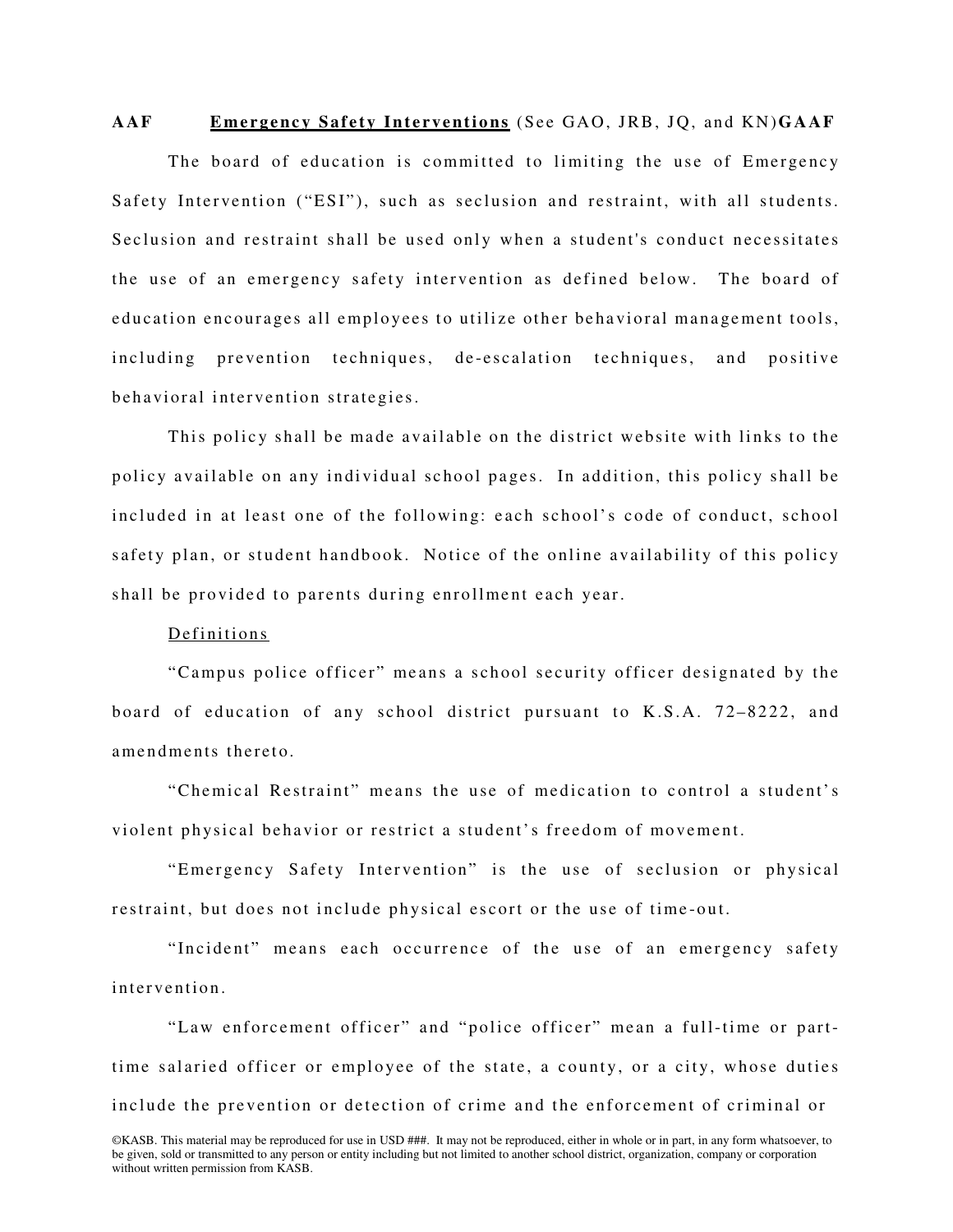# AAF Emergency Safety Interventions (See GAO, JRB, JO, and KN) GAAF

The board of education is committed to limiting the use of Emergency Safety Intervention ("ESI"), such as seclusion and restraint, with all students. Seclusion and restraint shall be used only when a student's conduct necessitates the use of an emergency safety intervention as defined below. The board of education encourages all employees to utilize other behavioral management tools, including prevention techniques, de-escalation techniques, and positive behavioral intervention strategies.

This policy shall be made available on the district website with links to the policy available on any individual school pages. In addition, this policy shall be included in at least one of the following: each school's code of conduct, school safety plan, or student handbook. Notice of the online availability of this policy shall be provided to parents during enrollment each year.

# Definitions

"Campus police officer" means a school security officer designated by the board of education of any school district pursuant to K.S.A.  $72-8222$ , and amendments thereto.

"Chemical Restraint" means the use of medication to control a student's violent physical behavior or restrict a student's freedom of movement.

"Emergency Safety Intervention" is the use of seclusion or physical restraint, but does not include physical escort or the use of time-out.

"Incident" means each occurrence of the use of an emergency safety intervention

"Law enforcement officer" and "police officer" mean a full-time or parttime salaried officer or employee of the state, a county, or a city, whose duties include the prevention or detection of crime and the enforcement of criminal or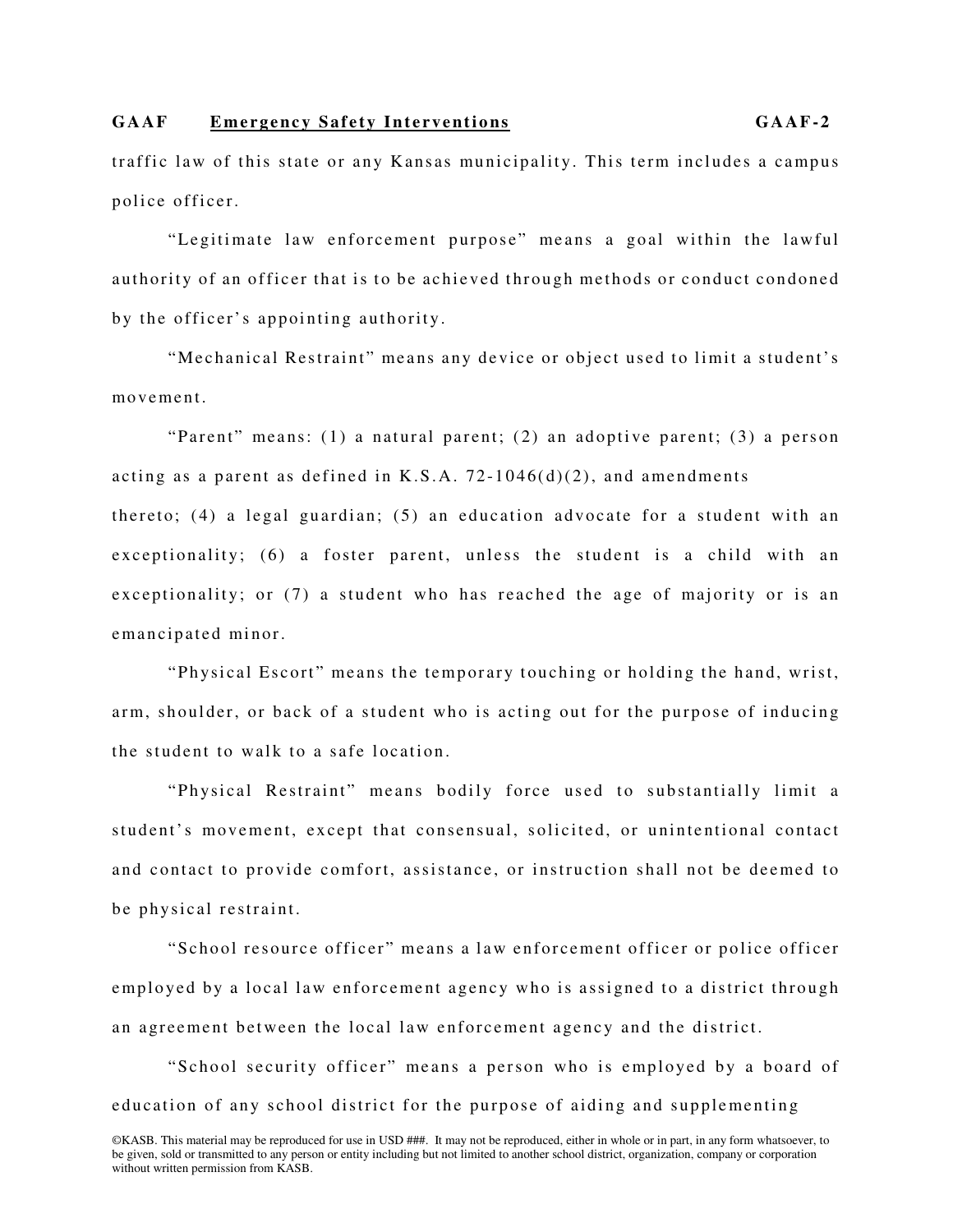traffic law of this state or any Kansas municipality. This term includes a campus police officer.

"Legitimate law enforcement purpose" means a goal within the lawful authority of an officer that is to be achieved through methods or conduct condoned by the officer's appointing authority.

"Mechanical Restraint" means any device or object used to limit a student's movement

"Parent" means: (1) a natural parent; (2) an adoptive parent; (3) a person acting as a parent as defined in K.S.A.  $72-1046(d)(2)$ , and amendments thereto; (4) a legal guardian; (5) an education advocate for a student with an exceptionality; (6) a foster parent, unless the student is a child with an exceptionality; or (7) a student who has reached the age of majority or is an emancipated minor.

"Physical Escort" means the temporary touching or holding the hand, wrist, arm, shoulder, or back of a student who is acting out for the purpose of inducing the student to walk to a safe location.

"Physical Restraint" means bodily force used to substantially limit a student's movement, except that consensual, solicited, or unintentional contact and contact to provide comfort, assistance, or instruction shall not be deemed to be physical restraint.

"School resource officer" means a law enforcement officer or police officer employed by a local law enforcement agency who is assigned to a district through an agreement between the local law enforcement agency and the district.

"School security officer" means a person who is employed by a board of education of any school district for the purpose of aiding and supplementing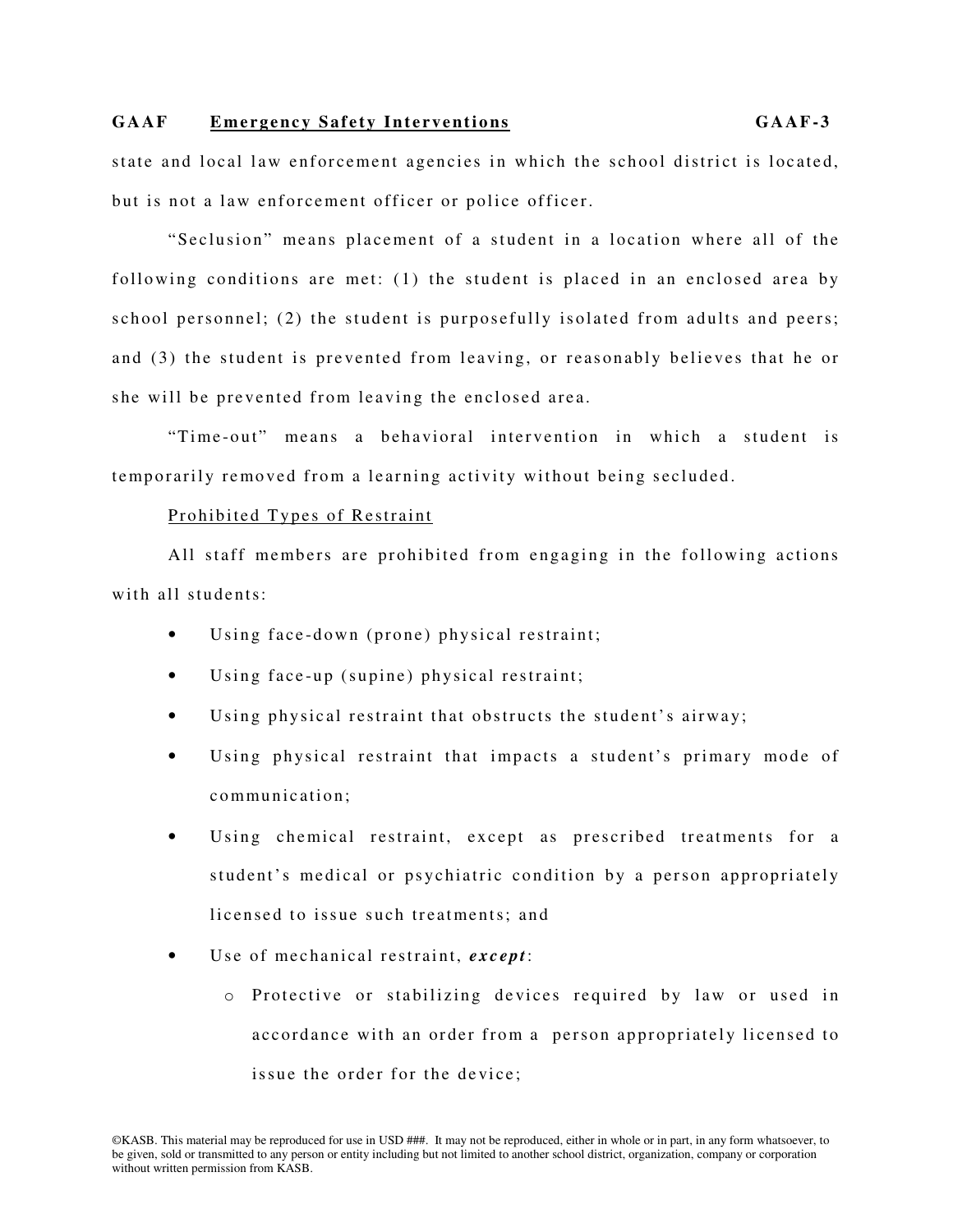state and local law enforcement agencies in which the school district is located, but is not a law enforcement officer or police officer.

"Seclusion" means placement of a student in a location where all of the following conditions are met:  $(1)$  the student is placed in an enclosed area by school personnel; (2) the student is purposefully isolated from adults and peers; and (3) the student is prevented from leaving, or reasonably believes that he or she will be prevented from leaving the enclosed area.

"Time-out" means a behavioral intervention in which a student is temporarily removed from a learning activity without being secluded.

# Prohibited Types of Restraint

All staff members are prohibited from engaging in the following actions with all students:

- Using face-down (prone) physical restraint;
- Using face-up (supine) physical restraint;
- Using physical restraint that obstructs the student's airway;
- Using physical restraint that impacts a student's primary mode of communication;
- Using chemical restraint, except as prescribed treatments for a student's medical or psychiatric condition by a person appropriately licensed to issue such treatments; and
- Use of mechanical restraint, *except*:
	- o Protective or stabilizing devices required by law or used in accordance with an order from a person appropriately licensed to is sue the order for the device: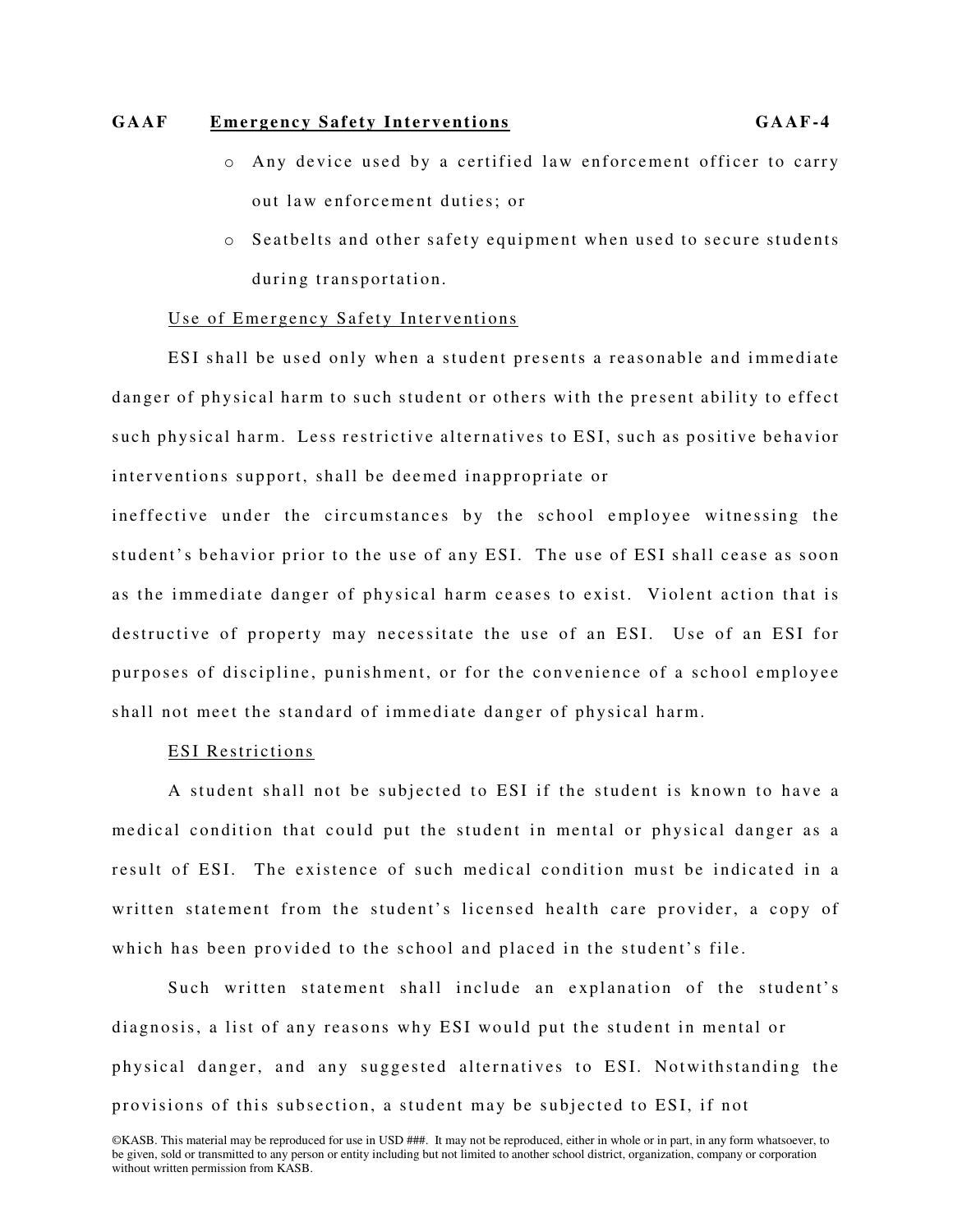- $\circ$  Any device used by a certified law enforcement officer to carry out law enforcement duties; or
- $\circ$  Seatbelts and other safety equipment when used to secure students during transportation.

# Use of Emergency Safety Interventions

ESI shall be used only when a student presents a reasonable and immediate danger of physical harm to such student or others with the present ability to effect such physical harm. Less restrictive alternatives to ESI, such as positive behavior interventions support, shall be deemed inappropriate or

ineffective under the circumstances by the school employee witnessing the student's behavior prior to the use of any ESI. The use of ESI shall cease as soon as the immediate danger of physical harm ceases to exist. Violent action that is destructive of property may necessitate the use of an ESI. Use of an ESI for purposes of discipline, punishment, or for the convenience of a school employee shall not meet the standard of immediate danger of physical harm.

## ESI Restrictions

A student shall not be subjected to ESI if the student is known to have a medical condition that could put the student in mental or physical danger as a result of ESI. The existence of such medical condition must be indicated in a written statement from the student's licensed health care provider, a copy of which has been provided to the school and placed in the student's file.

Such written statement shall include an explanation of the student's diagnosis, a list of any reasons why ESI would put the student in mental or physical danger, and any suggested alternatives to ESI. Notwithstanding the provisions of this subsection, a student may be subjected to ESI, if not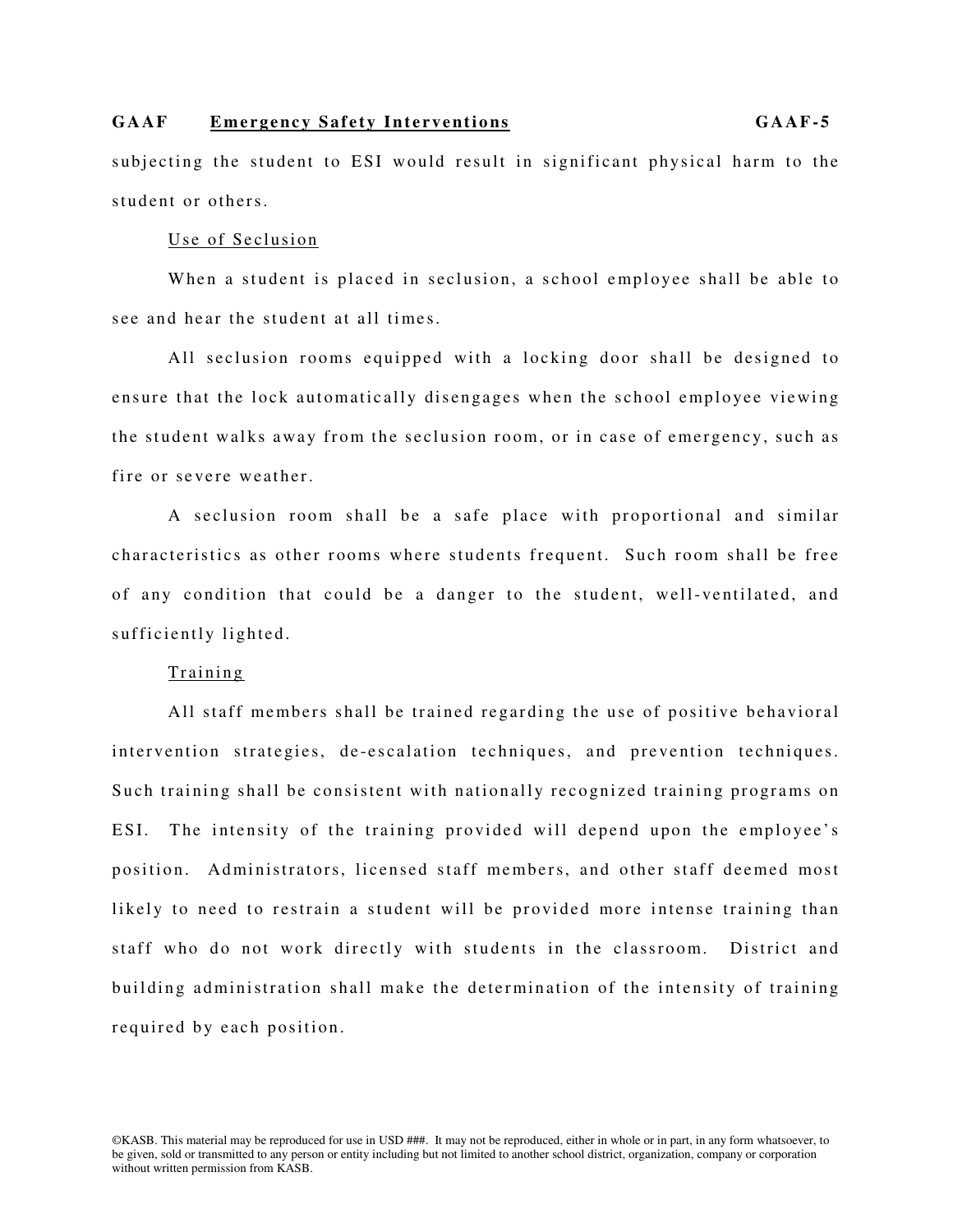subjecting the student to ESI would result in significant physical harm to the student or others.

# Use of Seclusion

When a student is placed in seclusion, a school employee shall be able to see and hear the student at all times.

All seclusion rooms equipped with a locking door shall be designed to ensure that the lock automatically disengages when the school employee viewing the student walks away from the seclusion room, or in case of emergency, such as fire or severe weather.

A seclusion room shall be a safe place with proportional and similar characteristics as other rooms where students frequent. Such room shall be free of any condition that could be a danger to the student, well-ventilated, and sufficiently lighted.

### Training

All staff members shall be trained regarding the use of positive behavioral intervention strategies, de-escalation techniques, and prevention techniques. Such training shall be consistent with nationally recognized training programs on ESI. The intensity of the training provided will depend upon the employee's position. Administrators, licensed staff members, and other staff deemed most likely to need to restrain a student will be provided more intense training than staff who do not work directly with students in the classroom. District and building administration shall make the determination of the intensity of training required by each position.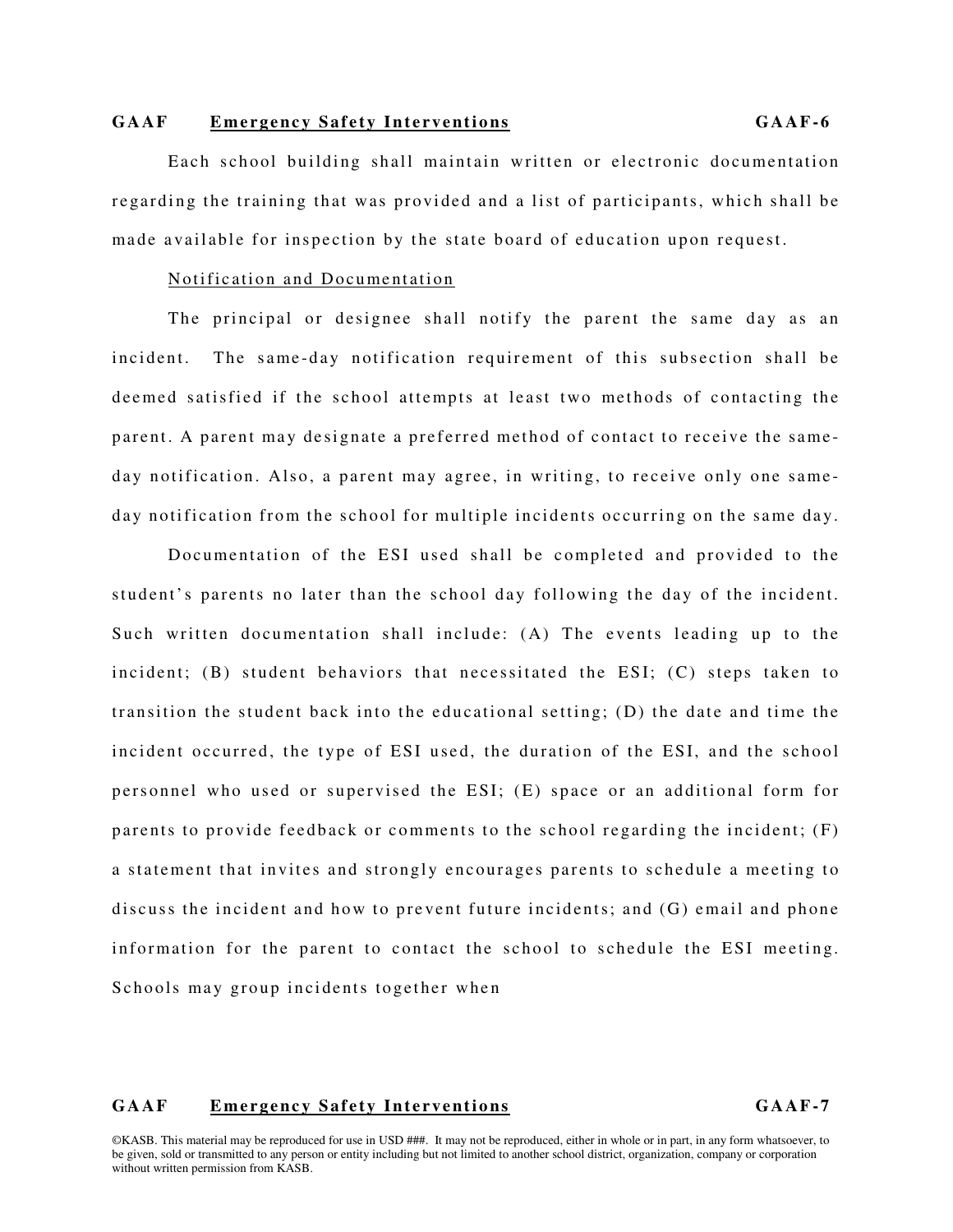#### Notification and Documentation

The principal or designee shall notify the parent the same day as an incident. The same-day notification requirement of this subsection shall be deemed satisfied if the school attempts at least two methods of contacting the parent. A parent may designate a preferred method of contact to receive the sameday notification. Also, a parent may agree, in writing, to receive only one sameday notification from the school for multiple incidents occurring on the same day.

Documentation of the ESI used shall be completed and provided to the student's parents no later than the school day following the day of the incident. Such written documentation shall include: (A) The events leading up to the incident;  $(B)$  student behaviors that necessitated the ESI;  $(C)$  steps taken to transition the student back into the educational setting;  $(D)$  the date and time the incident occurred, the type of ESI used, the duration of the ESI, and the school personnel who used or supervised the ESI; (E) space or an additional form for parents to provide feedback or comments to the school regarding the incident;  $(F)$ a statement that invites and strongly encourages parents to schedule a meeting to discuss the incident and how to prevent future incidents; and  $(G)$  email and phone information for the parent to contact the school to schedule the ESI meeting. Schools may group incidents together when

# GAAF Emergency Safety Interventions **GAAF-7**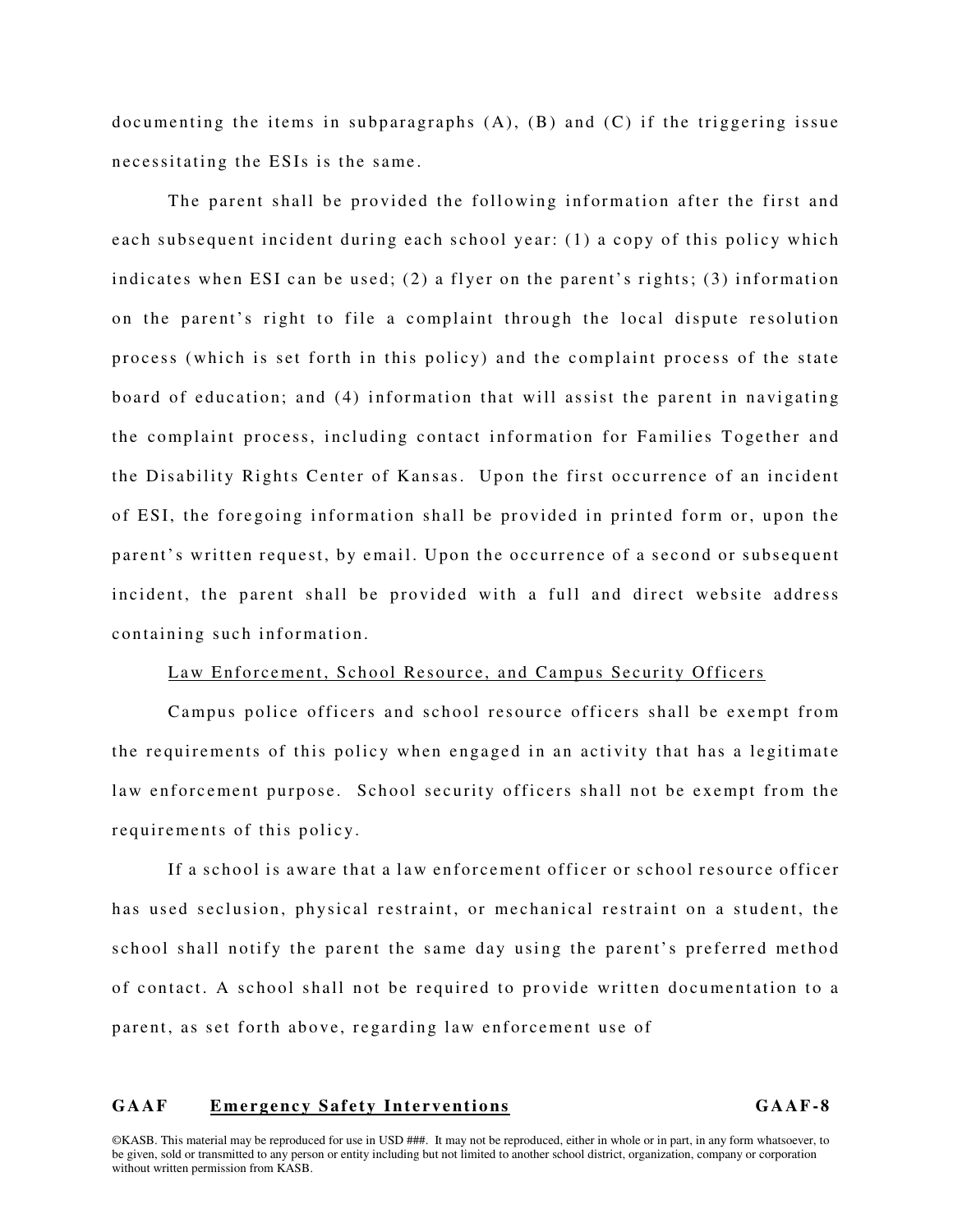documenting the items in subparagraphs  $(A)$ ,  $(B)$  and  $(C)$  if the triggering issue necessitating the ESIs is the same.

The parent shall be provided the following information after the first and each subsequent incident during each school year: (1) a copy of this policy which indicates when ESI can be used; (2) a flyer on the parent's rights; (3) information on the parent's right to file a complaint through the local dispute resolution process (which is set forth in this policy) and the complaint process of the state board of education; and (4) information that will assist the parent in navigating the complaint process, including contact information for Families Together and the Disability Rights Center of Kansas. Upon the first occurrence of an incident of ESI, the foregoing information shall be provided in printed form or, upon the parent's written request, by email. Upon the occurrence of a second or subsequent incident, the parent shall be provided with a full and direct website address containing such information.

### Law Enforcement, School Resource, and Campus Security Officers

Campus police officers and school resource officers shall be exempt from the requirements of this policy when engaged in an activity that has a legitimate law enforcement purpose. School security officers shall not be exempt from the requirements of this policy.

If a school is aware that a law enforcement officer or school resource officer has used seclusion, physical restraint, or mechanical restraint on a student, the school shall notify the parent the same day using the parent's preferred method of contact. A school shall not be required to provide written documentation to a parent, as set forth above, regarding law enforcement use of

#### GAAF Emergency Safety Interventions **GAAF-8**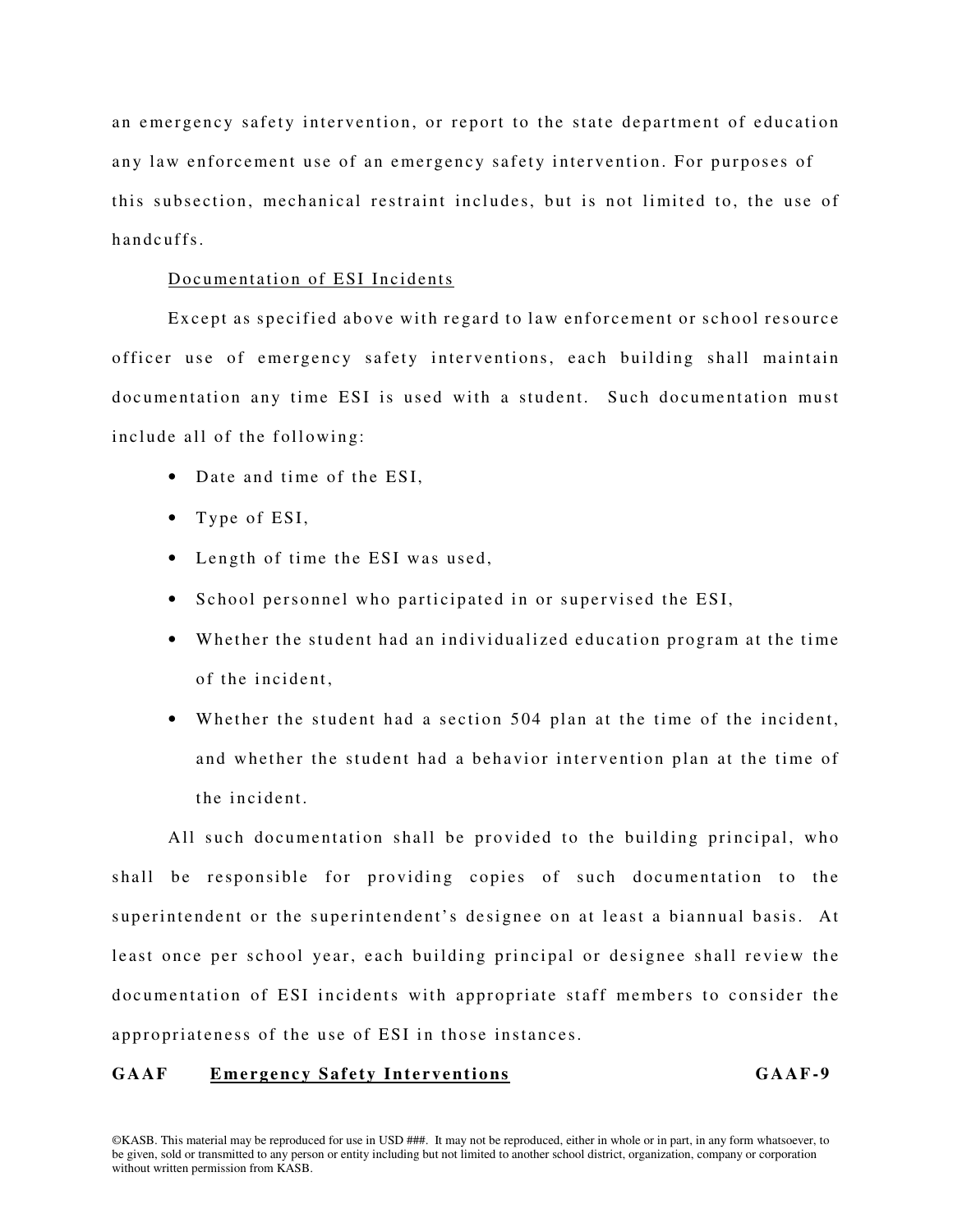an emergency safety intervention, or report to the state department of education any law enforcement use of an emergency safety intervention. For purposes of this subsection, mechanical restraint includes, but is not limited to, the use of h and cuffs

### Documentation of ESI Incidents

Except as specified above with regard to law enforcement or school resource officer use of emergency safety interventions, each building shall maintain documentation any time ESI is used with a student. Such documentation must include all of the following:

- Date and time of the ESI.
- Type of ESI,
- Length of time the ESI was used,
- School personnel who participated in or supervised the ESI,
- Whether the student had an individualized education program at the time of the incident.
- Whether the student had a section 504 plan at the time of the incident, and whether the student had a behavior intervention plan at the time of the incident.

All such documentation shall be provided to the building principal, who shall be responsible for providing copies of such documentation to the superintendent or the superintendent's designee on at least a biannual basis. At least once per school year, each building principal or designee shall review the documentation of ESI incidents with appropriate staff members to consider the appropriateness of the use of ESI in those instances.

# GAAF Emergency Safety Interventions GAAF-9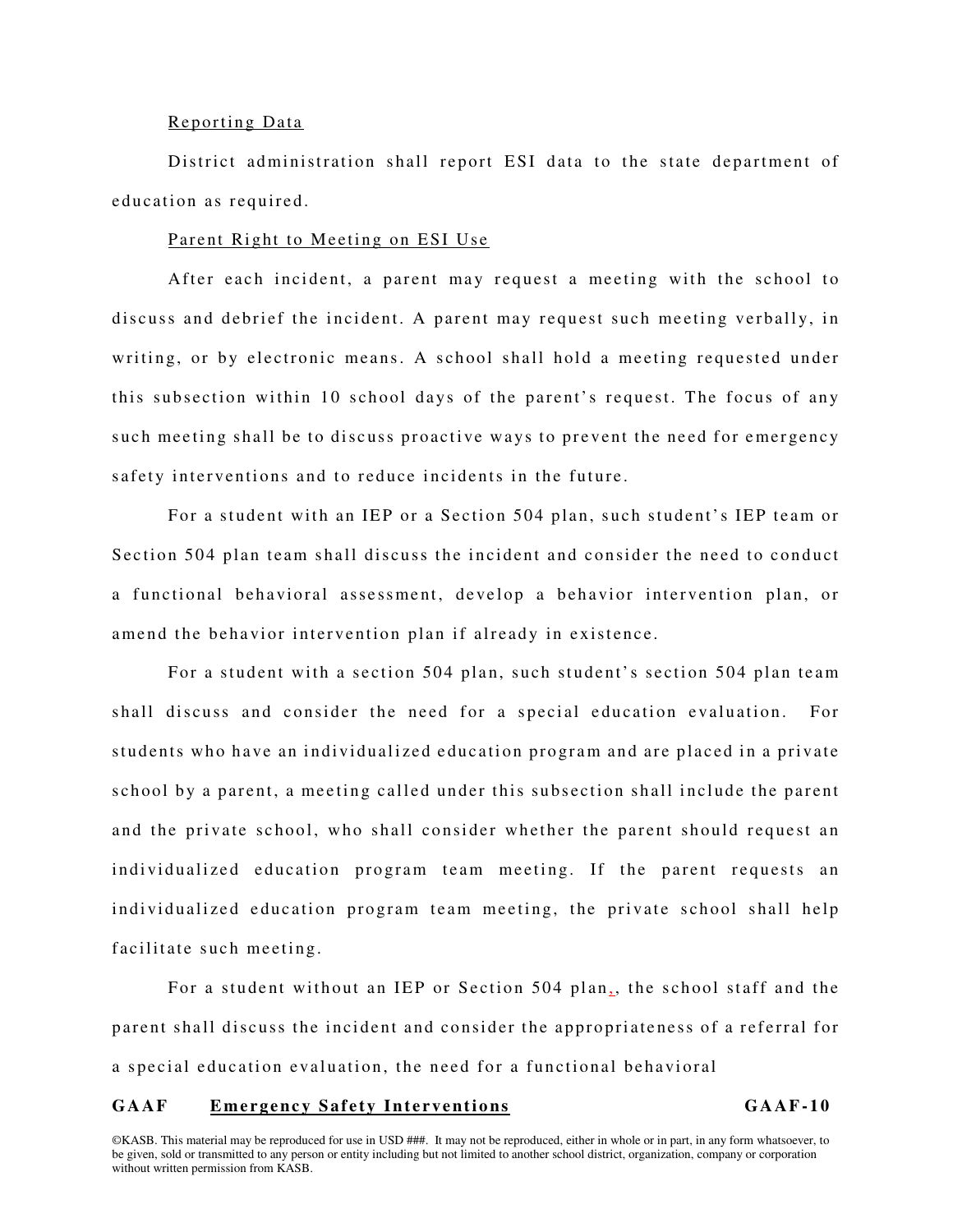#### Reporting Data

District administration shall report ESI data to the state department of education as required.

# Parent Right to Meeting on ESI Use

After each incident, a parent may request a meeting with the school to discuss and debrief the incident. A parent may request such meeting verbally, in writing, or by electronic means. A school shall hold a meeting requested under this subsection within 10 school days of the parent's request. The focus of any such meeting shall be to discuss proactive ways to prevent the need for emergency safety interventions and to reduce incidents in the future.

For a student with an IEP or a Section 504 plan, such student's IEP team or Section 504 plan team shall discuss the incident and consider the need to conduct a functional behavioral assessment, develop a behavior intervention plan, or amend the behavior intervention plan if already in existence.

For a student with a section 504 plan, such student's section 504 plan team shall discuss and consider the need for a special education evaluation. For students who have an individualized education program and are placed in a private school by a parent, a meeting called under this subsection shall include the parent and the private school, who shall consider whether the parent should request an individualized education program team meeting. If the parent requests an individualized education program team meeting, the private school shall help facilitate such meeting.

For a student without an IEP or Section 504 plan,, the school staff and the parent shall discuss the incident and consider the appropriateness of a referral for a special education evaluation, the need for a functional behavioral

#### GAAF Emergency Safety Interventions **GAAF-10**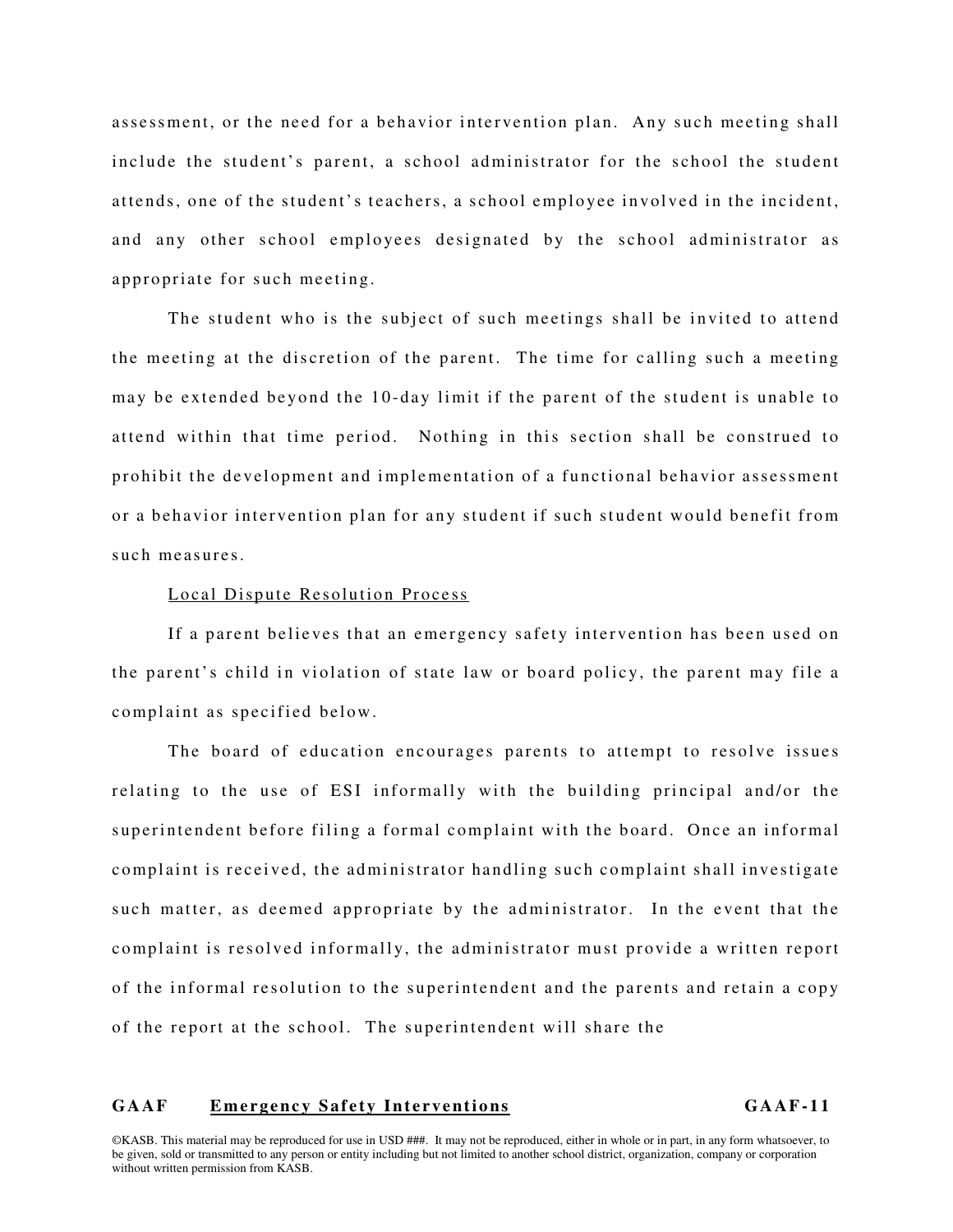assessment, or the need for a behavior intervention plan. Any such meeting shall include the student's parent, a school administrator for the school the student attends, one of the student's teachers, a school emplovee involved in the incident, and any other school employees designated by the school administrator as appropriate for such meeting.

The student who is the subject of such meetings shall be invited to attend the meeting at the discretion of the parent. The time for calling such a meeting may be extended beyond the 10-day limit if the parent of the student is unable to attend within that time period. Nothing in this section shall be construed to prohibit the development and implementation of a functional behavior assessment or a behavior intervention plan for any student if such student would benefit from such measures.

#### Local Dispute Resolution Process

If a parent believes that an emergency safety intervention has been used on the parent's child in violation of state law or board policy, the parent may file a complaint as specified below.

The board of education encourages parents to attempt to resolve issues relating to the use of ESI informally with the building principal and/or the superintendent before filing a formal complaint with the board. Once an informal complaint is received, the administrator handling such complaint shall investigate such matter, as deemed appropriate by the administrator. In the event that the complaint is resolved informally, the administrator must provide a written report of the informal resolution to the superintendent and the parents and retain a copy of the report at the school. The superintendent will share the

# GAAF Emergency Safety Interventions **GAAF** GAAF-11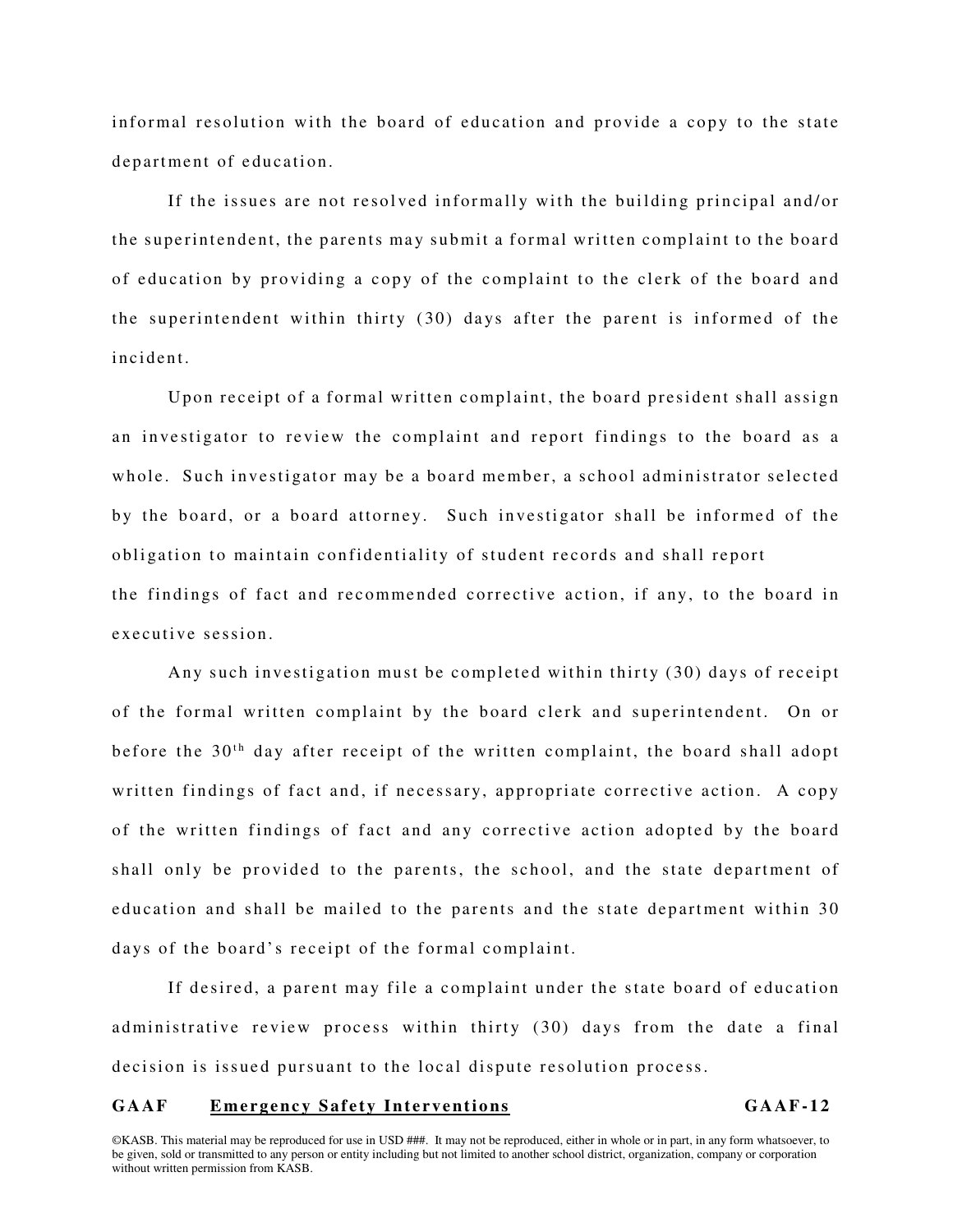informal resolution with the board of education and provide a copy to the state department of education.

If the issues are not resolved informally with the building principal and/or the superintendent, the parents may submit a formal written complaint to the board of education by providing a copy of the complaint to the clerk of the board and the superintendent within thirty  $(30)$  days after the parent is informed of the incident.

Upon receipt of a formal written complaint, the board president shall assign an investigator to review the complaint and report findings to the board as a whole. Such investigator may be a board member, a school administrator selected by the board, or a board attorney. Such investigator shall be informed of the obligation to maintain confidentiality of student records and shall report the findings of fact and recommended corrective action, if any, to the board in executive session.

Any such investigation must be completed within thirty  $(30)$  days of receipt of the formal written complaint by the board clerk and superintendent. On or before the 30<sup>th</sup> day after receipt of the written complaint, the board shall adopt written findings of fact and, if necessary, appropriate corrective action. A copy of the written findings of fact and any corrective action adopted by the board shall only be provided to the parents, the school, and the state department of education and shall be mailed to the parents and the state department within 30 days of the board's receipt of the formal complaint.

If desired, a parent may file a complaint under the state board of education administrative review process within thirty (30) days from the date a final decision is issued pursuant to the local dispute resolution process.

# GAAF Emergency Safety Interventions **GAAF-12**